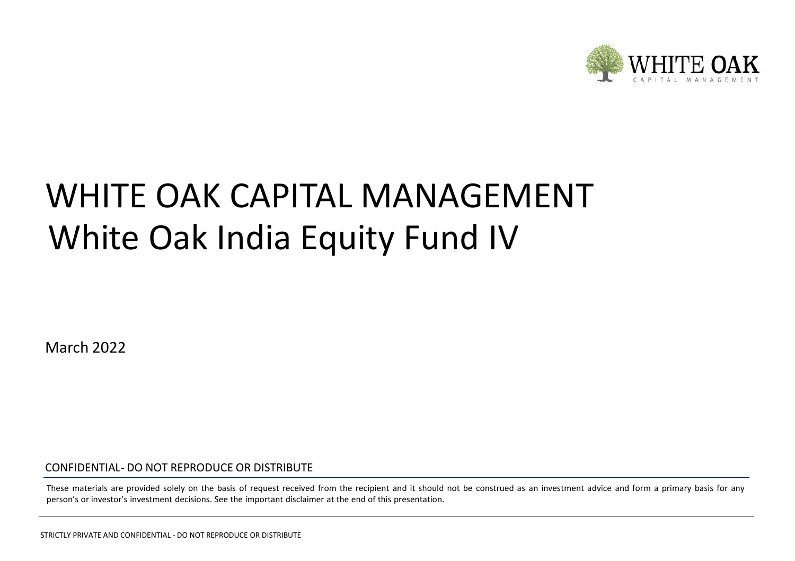

# White Oak India Equity Fund IV WHITE OAK CAPITAL MANAGEMENT

March 2022

CONFIDENTIAL- DO NOT REPRODUCE OR DISTRIBUTE

These materials are provided solely on the basis of request received from the recipient and it should not be construed as an investment advice and form a primary basis for any person's or investor's investment decisions. See the important disclaimer at the end of this presentation.

STRICTLY PRIVATE AND CONFIDENTIAL - DO NOT REPRODUCE OR DISTRIBUTE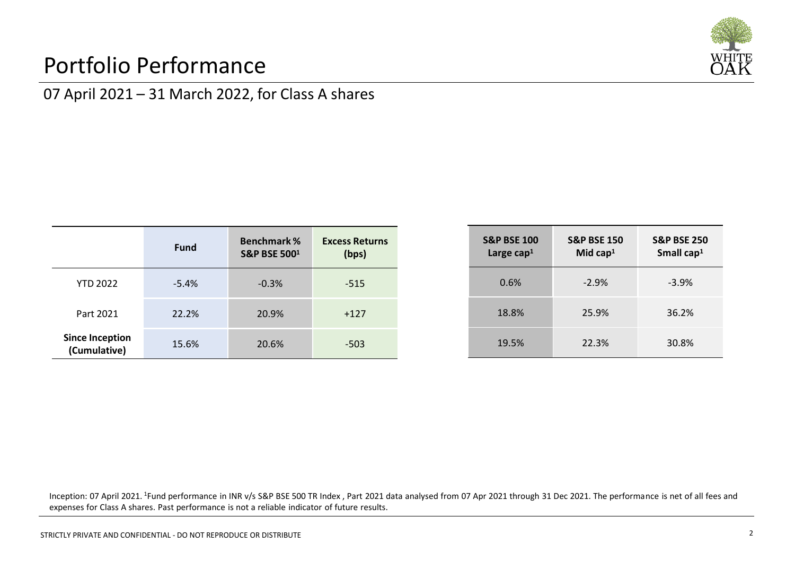## Portfolio Performance



## 07 April 2021 – 31 March 2022, for Class A shares

|                                        | Fund    | <b>Benchmark %</b><br><b>S&amp;P BSE 5001</b> | <b>Excess Returns</b><br>(bps) |
|----------------------------------------|---------|-----------------------------------------------|--------------------------------|
| <b>YTD 2022</b>                        | $-5.4%$ | $-0.3%$                                       | $-515$                         |
| Part 2021                              | 22.2%   | 20.9%                                         | $+127$                         |
| <b>Since Inception</b><br>(Cumulative) | 15.6%   | 20.6%                                         | $-503$                         |

| <b>S&amp;P BSE 100</b><br>Large cap <sup>1</sup> | <b>S&amp;P BSE 150</b><br>Mid cap <sup>1</sup> | <b>S&amp;P BSE 250</b><br>Small $cap1$ |
|--------------------------------------------------|------------------------------------------------|----------------------------------------|
| 0.6%                                             | $-2.9%$                                        | $-3.9%$                                |
| 18.8%                                            | 25.9%                                          | 36.2%                                  |
| 19.5%                                            | 22.3%                                          | 30.8%                                  |

Inception: 07 April 2021. <sup>1</sup>Fund performance in INR v/s S&P BSE 500 TR Index , Part 2021 data analysed from 07 Apr 2021 through 31 Dec 2021. The performance is net of all fees and expenses for Class A shares. Past performance is not a reliable indicator of future results.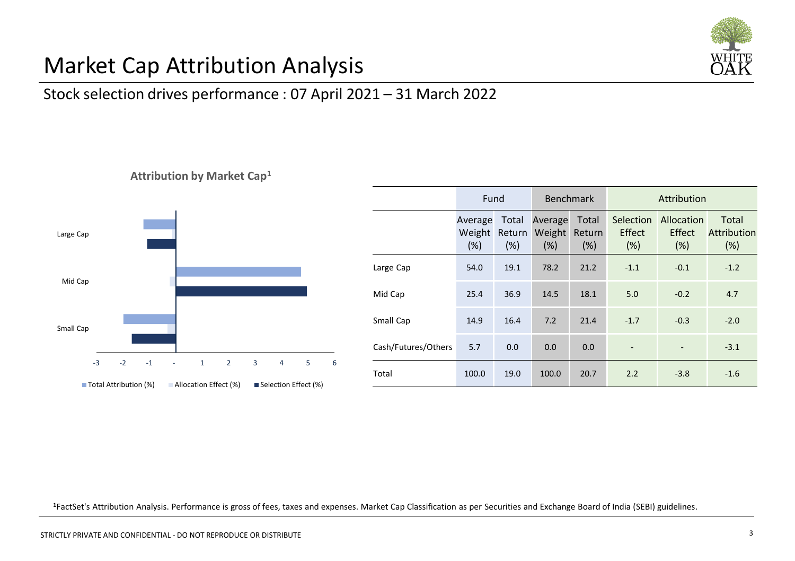

## Market Cap Attribution Analysis

### Stock selection drives performance : 07 April 2021 – 31 March 2022





|                     | Fund                     |                         | <b>Benchmark</b>         |                        | Attribution                 |                             |                             |
|---------------------|--------------------------|-------------------------|--------------------------|------------------------|-----------------------------|-----------------------------|-----------------------------|
|                     | Average<br>Weight<br>(%) | Total<br>Return<br>(% ) | Average<br>Weight<br>(%) | Total<br>Return<br>(%) | Selection<br>Effect<br>(% ) | Allocation<br>Effect<br>(%) | Total<br>Attribution<br>(%) |
| Large Cap           | 54.0                     | 19.1                    | 78.2                     | 21.2                   | $-1.1$                      | $-0.1$                      | $-1.2$                      |
| Mid Cap             | 25.4                     | 36.9                    | 14.5                     | 18.1                   | 5.0                         | $-0.2$                      | 4.7                         |
| Small Cap           | 14.9                     | 16.4                    | 7.2                      | 21.4                   | $-1.7$                      | $-0.3$                      | $-2.0$                      |
| Cash/Futures/Others | 5.7                      | 0.0                     | 0.0                      | 0.0                    |                             |                             | $-3.1$                      |
| Total               | 100.0                    | 19.0                    | 100.0                    | 20.7                   | 2.2                         | $-3.8$                      | $-1.6$                      |

**<sup>1</sup>**FactSet's Attribution Analysis. Performance is gross of fees, taxes and expenses. Market Cap Classification as per Securities and Exchange Board of India (SEBI) guidelines.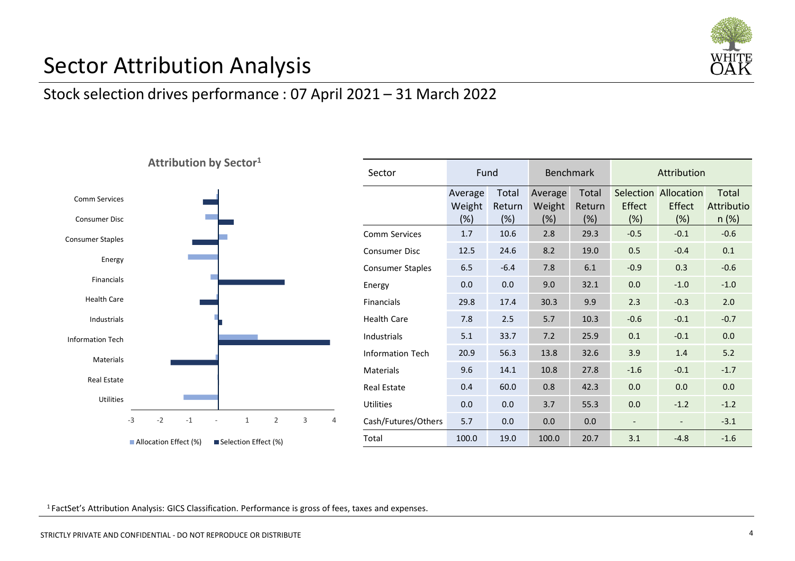

## Sector Attribution Analysis

#### Stock selection drives performance : 07 April 2021 – 31 March 2022



| Sector                  | Fund                     |                           | <b>Benchmark</b>         |                           | Attribution   |                                       |                                 |
|-------------------------|--------------------------|---------------------------|--------------------------|---------------------------|---------------|---------------------------------------|---------------------------------|
|                         | Average<br>Weight<br>(%) | Total<br>Return<br>$(\%)$ | Average<br>Weight<br>(%) | Total<br>Return<br>$(\%)$ | Effect<br>(%) | Selection Allocation<br>Effect<br>(%) | Total<br>Attributio<br>$n (\%)$ |
| Comm Services           | 1.7                      | 10.6                      | 2.8                      | 29.3                      | $-0.5$        | $-0.1$                                | $-0.6$                          |
| Consumer Disc           | 12.5                     | 24.6                      | 8.2                      | 19.0                      | 0.5           | $-0.4$                                | 0.1                             |
| <b>Consumer Staples</b> | 6.5                      | $-6.4$                    | 7.8                      | 6.1                       | $-0.9$        | 0.3                                   | $-0.6$                          |
| Energy                  | 0.0                      | 0.0                       | 9.0                      | 32.1                      | 0.0           | $-1.0$                                | $-1.0$                          |
| <b>Financials</b>       | 29.8                     | 17.4                      | 30.3                     | 9.9                       | 2.3           | $-0.3$                                | 2.0                             |
| <b>Health Care</b>      | 7.8                      | 2.5                       | 5.7                      | 10.3                      | $-0.6$        | $-0.1$                                | $-0.7$                          |
| Industrials             | 5.1                      | 33.7                      | 7.2                      | 25.9                      | 0.1           | $-0.1$                                | 0.0                             |
| <b>Information Tech</b> | 20.9                     | 56.3                      | 13.8                     | 32.6                      | 3.9           | 1.4                                   | 5.2                             |
| Materials               | 9.6                      | 14.1                      | 10.8                     | 27.8                      | $-1.6$        | $-0.1$                                | $-1.7$                          |
| Real Estate             | 0.4                      | 60.0                      | 0.8                      | 42.3                      | 0.0           | 0.0                                   | 0.0                             |
| Utilities               | 0.0                      | 0.0                       | 3.7                      | 55.3                      | 0.0           | $-1.2$                                | $-1.2$                          |
| Cash/Futures/Others     | 5.7                      | 0.0                       | 0.0                      | 0.0                       |               |                                       | $-3.1$                          |
| Total                   | 100.0                    | 19.0                      | 100.0                    | 20.7                      | 3.1           | $-4.8$                                | $-1.6$                          |

<sup>1</sup>FactSet's Attribution Analysis: GICS Classification. Performance is gross of fees, taxes and expenses.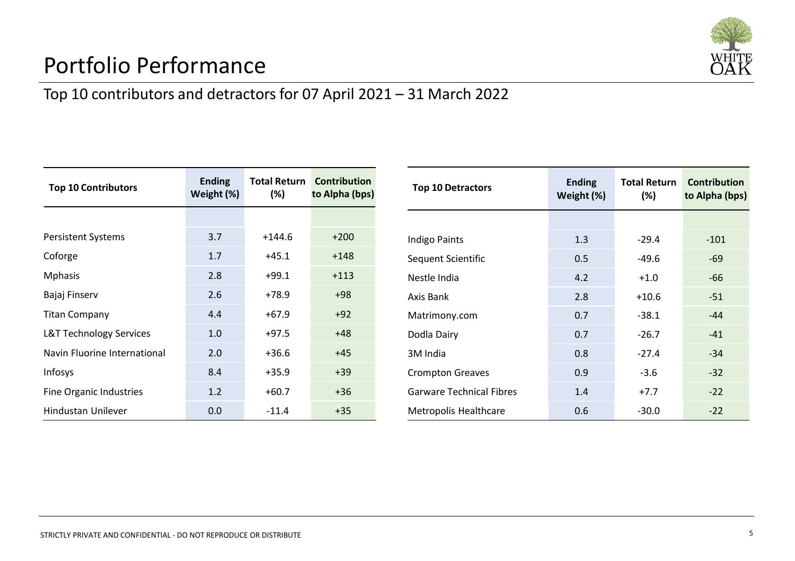

## Portfolio Performance

## Top 10 contributors and detractors for 07 April 2021 – 31 March 2022

| <b>Top 10 Contributors</b>   | <b>Ending</b><br>Weight (%) | (%)      | <b>Total Return Contribution</b><br>to Alpha (bps) |  |
|------------------------------|-----------------------------|----------|----------------------------------------------------|--|
|                              |                             |          |                                                    |  |
| <b>Persistent Systems</b>    | 3.7                         | $+144.6$ | $+200$                                             |  |
| Coforge                      | 1.7                         | $+45.1$  | $+148$                                             |  |
| <b>Mphasis</b>               | 2.8                         | $+99.1$  | $+113$                                             |  |
| Bajaj Finserv                | 2.6                         | $+78.9$  | $+98$                                              |  |
| <b>Titan Company</b>         | 4.4                         | $+67.9$  | $+92$                                              |  |
| L&T Technology Services      | 1.0                         | $+97.5$  | $+48$                                              |  |
| Navin Fluorine International | 2.0                         | $+36.6$  | $+45$                                              |  |
| <b>Infosys</b>               | 8.4                         | $+35.9$  | $+39$                                              |  |
| Fine Organic Industries      | 1.2                         | $+60.7$  | $+36$                                              |  |
| <b>Hindustan Unilever</b>    | 0.0                         | $-11.4$  | $+35$                                              |  |

| <b>Top 10 Detractors</b>        | <b>Ending</b><br>Weight (%) | <b>Total Return</b><br>(%) | <b>Contribution</b><br>to Alpha (bps) |  |
|---------------------------------|-----------------------------|----------------------------|---------------------------------------|--|
|                                 |                             |                            |                                       |  |
| Indigo Paints                   | 1.3                         | $-29.4$                    | $-101$                                |  |
| Sequent Scientific              | 0.5                         | $-49.6$                    | $-69$                                 |  |
| Nestle India                    | 4.2                         | $+1.0$                     | $-66$                                 |  |
| Axis Bank                       | 2.8                         | $+10.6$                    | $-51$                                 |  |
| Matrimony.com                   | 0.7                         | $-38.1$                    | $-44$                                 |  |
| Dodla Dairy                     | 0.7                         | $-26.7$                    | $-41$                                 |  |
| 3M India                        | 0.8                         | $-27.4$                    | $-34$                                 |  |
| <b>Crompton Greaves</b>         | 0.9                         | $-3.6$                     | $-32$                                 |  |
| <b>Garware Technical Fibres</b> | 1.4                         | $+7.7$                     | $-22$                                 |  |
| Metropolis Healthcare           | 0.6                         | $-30.0$                    | $-22$                                 |  |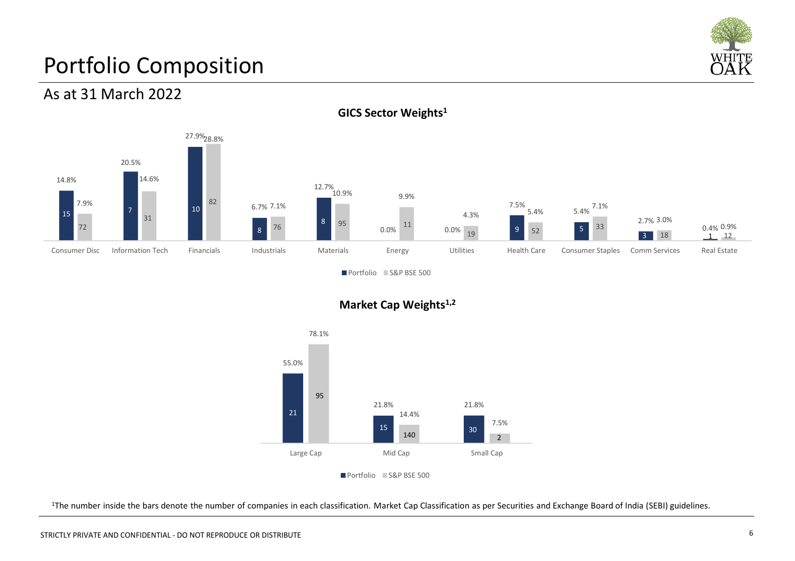

## Portfolio Composition

#### As at 31 March 2022



**GICS Sector Weights1**

Portfolio S&P BSE 500





<sup>1</sup>The number inside the bars denote the number of companies in each classification. Market Cap Classification as per Securities and Exchange Board of India (SEBI) guidelines.